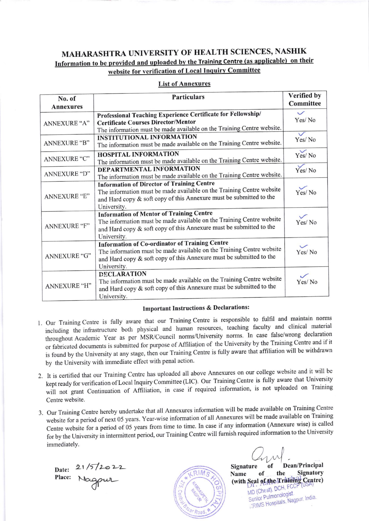# MAHARASHTRA UNIVERSITY OF HEALTH SCIENCES, NASHIK Information to be provided and uploaded by the Training Centre (as applicable) on their website for verification of Local Inquiry Committee

## **List of Annexures**

| No. of              | <b>Particulars</b>                                                                                                                                                                                               | Verified by            |
|---------------------|------------------------------------------------------------------------------------------------------------------------------------------------------------------------------------------------------------------|------------------------|
| <b>Annexures</b>    |                                                                                                                                                                                                                  | Committee              |
| ANNEXURE "A"        | Professional Teaching Experience Certificate for Fellowship/<br><b>Certificate Courses Director/Mentor</b><br>The information must be made available on the Training Centre website.                             | $\checkmark$<br>Yes/No |
| <b>ANNEXURE "B"</b> | <b>INSTITUTIONAL INFORMATION</b><br>The information must be made available on the Training Centre website.                                                                                                       | $\checkmark$<br>Yes/No |
| ANNEXURE "C"        | HOSPITAL INFORMATION<br>The information must be made available on the Training Centre website.                                                                                                                   | $\checkmark$<br>Yes/No |
| ANNEXURE "D"        | DEPARTMENTAL INFORMATION<br>The information must be made available on the Training Centre website.                                                                                                               | $\checkmark$<br>Yes/No |
| ANNEXURE "E"        | <b>Information of Director of Training Centre</b><br>The information must be made available on the Training Centre website<br>and Hard copy & soft copy of this Annexure must be submitted to the<br>University. | Yes/No                 |
| ANNEXURE "F"        | <b>Information of Mentor of Training Centre</b><br>The information must be made available on the Training Centre website<br>and Hard copy & soft copy of this Annexure must be submitted to the<br>University.   | $\sqrt{}$<br>Yes/No    |
| ANNEXURE "G"        | Information of Co-ordinator of Training Centre<br>The information must be made available on the Training Centre website<br>and Hard copy & soft copy of this Annexure must be submitted to the<br>University.    | Yes/No                 |
| ANNEXURE "H"        | <b>DECLARATION</b><br>The information must be made available on the Training Centre website<br>and Hard copy & soft copy of this Annexure must be submitted to the<br>University.                                | $\checkmark$<br>Yes/No |

### **Important Instructions & Declarations:**

- 1. Our Training Centre is fully aware that our Training Centre is responsible to fulfil and maintain norms including the infrastructure both physical and human resources, teaching faculty and clinical material throughout Academic Year as per MSR/Council norms/University norms. In case false/wrong declaration or fabricated documents is submitted for purpose of Affiliation of the University by the Training Centre and if it is found by the University at any stage, then our Training Centre is fully aware that affiliation will be withdrawn by the University with immediate effect with penal action.
- 2. It is certified that our Training Centre has uploaded all above Annexures on our college website and it will be kept ready for verification of Local Inquiry Committee (LIC). Our Training Centre is fully aware that University will not grant Continuation of Affiliation, in case if required information, is not uploaded on Training Centre website.
- 3. Our Training Centre hereby undertake that all Annexures information will be made available on Training Centre website for a period of next 05 years. Year-wise information of all Annexures will be made available on Training Centre website for a period of 05 years from time to time. In case if any information (Annexure wise) is called for by the University in intermittent period, our Training Centre will furnish required information to the University immediately.

Date: 21/5/2022



Dean/Principal Signature the **Signatory** of Name (with Seal of the Training Centre) MD (Chest), DCH, FCC Senior Pulmonologist KRIMS Hospitals, Nagpur, India.